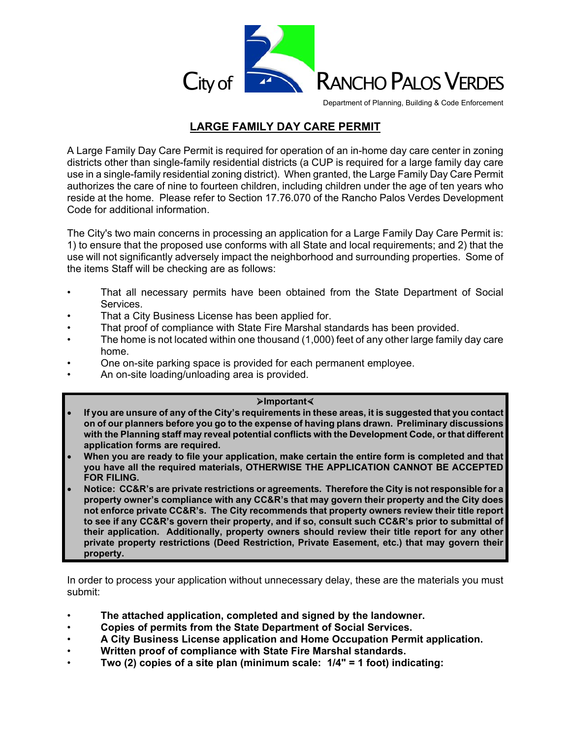

Department of Planning, Building & Code Enforcement

## **LARGE FAMILY DAY CARE PERMIT**

A Large Family Day Care Permit is required for operation of an in-home day care center in zoning districts other than single-family residential districts (a CUP is required for a large family day care use in a single-family residential zoning district). When granted, the Large Family Day Care Permit authorizes the care of nine to fourteen children, including children under the age of ten years who reside at the home. Please refer to Section 17.76.070 of the Rancho Palos Verdes Development Code for additional information.

The City's two main concerns in processing an application for a Large Family Day Care Permit is: 1) to ensure that the proposed use conforms with all State and local requirements; and 2) that the use will not significantly adversely impact the neighborhood and surrounding properties. Some of the items Staff will be checking are as follows:

- That all necessary permits have been obtained from the State Department of Social Services.
- That a City Business License has been applied for.
- That proof of compliance with State Fire Marshal standards has been provided.
- The home is not located within one thousand (1,000) feet of any other large family day care home.
- One on-site parking space is provided for each permanent employee.
- An on-site loading/unloading area is provided.

## **Important**

- **If you are unsure of any of the City's requirements in these areas, it is suggested that you contact on of our planners before you go to the expense of having plans drawn. Preliminary discussions with the Planning staff may reveal potential conflicts with the Development Code, or that different application forms are required.**
- **When you are ready to file your application, make certain the entire form is completed and that you have all the required materials, OTHERWISE THE APPLICATION CANNOT BE ACCEPTED FOR FILING.**
- **Notice: CC&R's are private restrictions or agreements. Therefore the City is not responsible for a property owner's compliance with any CC&R's that may govern their property and the City does not enforce private CC&R's. The City recommends that property owners review their title report to see if any CC&R's govern their property, and if so, consult such CC&R's prior to submittal of their application. Additionally, property owners should review their title report for any other private property restrictions (Deed Restriction, Private Easement, etc.) that may govern their property.**

In order to process your application without unnecessary delay, these are the materials you must submit:

- **The attached application, completed and signed by the landowner.**
- **Copies of permits from the State Department of Social Services.**
- **A City Business License application and Home Occupation Permit application.**
- **Written proof of compliance with State Fire Marshal standards.**
- **Two (2) copies of a site plan (minimum scale: 1/4" = 1 foot) indicating:**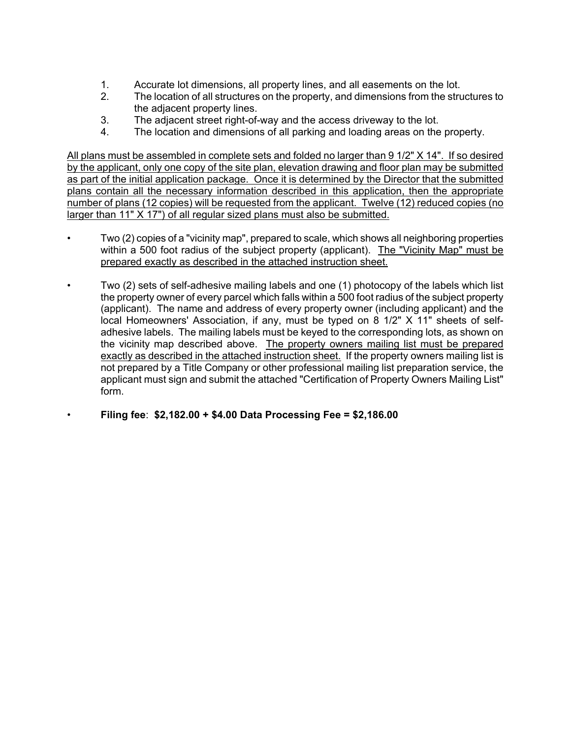- 1. Accurate lot dimensions, all property lines, and all easements on the lot.
- 2. The location of all structures on the property, and dimensions from the structures to the adjacent property lines.
- 3. The adjacent street right-of-way and the access driveway to the lot.
- 4. The location and dimensions of all parking and loading areas on the property.

All plans must be assembled in complete sets and folded no larger than 9 1/2" X 14". If so desired by the applicant, only one copy of the site plan, elevation drawing and floor plan may be submitted as part of the initial application package. Once it is determined by the Director that the submitted plans contain all the necessary information described in this application, then the appropriate number of plans (12 copies) will be requested from the applicant. Twelve (12) reduced copies (no larger than 11" X 17") of all regular sized plans must also be submitted.

- Two (2) copies of a "vicinity map", prepared to scale, which shows all neighboring properties within a 500 foot radius of the subject property (applicant). The "Vicinity Map" must be prepared exactly as described in the attached instruction sheet.
- Two (2) sets of self-adhesive mailing labels and one (1) photocopy of the labels which list the property owner of every parcel which falls within a 500 foot radius of the subject property (applicant). The name and address of every property owner (including applicant) and the local Homeowners' Association, if any, must be typed on 8 1/2" X 11" sheets of selfadhesive labels. The mailing labels must be keyed to the corresponding lots, as shown on the vicinity map described above. The property owners mailing list must be prepared exactly as described in the attached instruction sheet. If the property owners mailing list is not prepared by a Title Company or other professional mailing list preparation service, the applicant must sign and submit the attached "Certification of Property Owners Mailing List" form.
- **Filing fee**: **\$2,182.00 + \$4.00 Data Processing Fee = \$2,186.00**